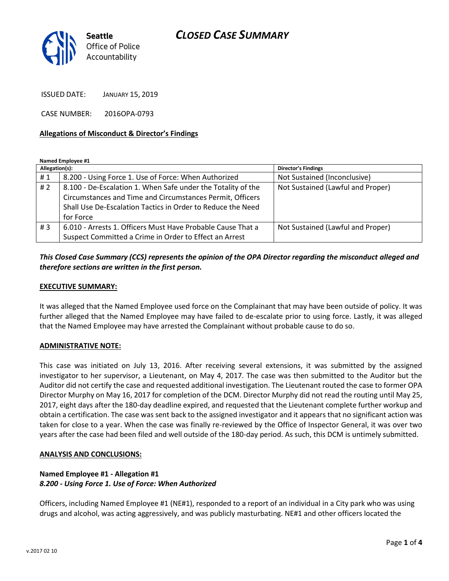# *CLOSED CASE SUMMARY*



ISSUED DATE: JANUARY 15, 2019

CASE NUMBER: 2016OPA-0793

### **Allegations of Misconduct & Director's Findings**

**Named Employee #1**

| Allegation(s): |                                                              | <b>Director's Findings</b>        |
|----------------|--------------------------------------------------------------|-----------------------------------|
| #1             | 8.200 - Using Force 1. Use of Force: When Authorized         | Not Sustained (Inconclusive)      |
| # $2$          | 8.100 - De-Escalation 1. When Safe under the Totality of the | Not Sustained (Lawful and Proper) |
|                | Circumstances and Time and Circumstances Permit, Officers    |                                   |
|                | Shall Use De-Escalation Tactics in Order to Reduce the Need  |                                   |
|                | for Force                                                    |                                   |
| #3             | 6.010 - Arrests 1. Officers Must Have Probable Cause That a  | Not Sustained (Lawful and Proper) |
|                | Suspect Committed a Crime in Order to Effect an Arrest       |                                   |

## *This Closed Case Summary (CCS) represents the opinion of the OPA Director regarding the misconduct alleged and therefore sections are written in the first person.*

### **EXECUTIVE SUMMARY:**

It was alleged that the Named Employee used force on the Complainant that may have been outside of policy. It was further alleged that the Named Employee may have failed to de-escalate prior to using force. Lastly, it was alleged that the Named Employee may have arrested the Complainant without probable cause to do so.

#### **ADMINISTRATIVE NOTE:**

This case was initiated on July 13, 2016. After receiving several extensions, it was submitted by the assigned investigator to her supervisor, a Lieutenant, on May 4, 2017. The case was then submitted to the Auditor but the Auditor did not certify the case and requested additional investigation. The Lieutenant routed the case to former OPA Director Murphy on May 16, 2017 for completion of the DCM. Director Murphy did not read the routing until May 25, 2017, eight days after the 180-day deadline expired, and requested that the Lieutenant complete further workup and obtain a certification. The case was sent back to the assigned investigator and it appears that no significant action was taken for close to a year. When the case was finally re-reviewed by the Office of Inspector General, it was over two years after the case had been filed and well outside of the 180-day period. As such, this DCM is untimely submitted.

#### **ANALYSIS AND CONCLUSIONS:**

# **Named Employee #1 - Allegation #1** *8.200 - Using Force 1. Use of Force: When Authorized*

Officers, including Named Employee #1 (NE#1), responded to a report of an individual in a City park who was using drugs and alcohol, was acting aggressively, and was publicly masturbating. NE#1 and other officers located the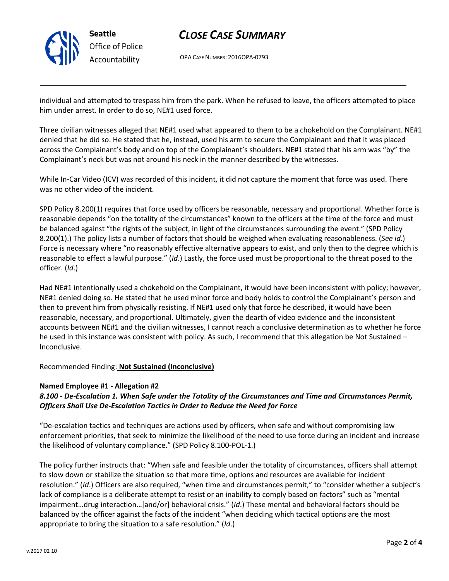

# *CLOSE CASE SUMMARY*

OPA CASE NUMBER: 2016OPA-0793

individual and attempted to trespass him from the park. When he refused to leave, the officers attempted to place him under arrest. In order to do so, NE#1 used force.

Three civilian witnesses alleged that NE#1 used what appeared to them to be a chokehold on the Complainant. NE#1 denied that he did so. He stated that he, instead, used his arm to secure the Complainant and that it was placed across the Complainant's body and on top of the Complainant's shoulders. NE#1 stated that his arm was "by" the Complainant's neck but was not around his neck in the manner described by the witnesses.

While In-Car Video (ICV) was recorded of this incident, it did not capture the moment that force was used. There was no other video of the incident.

SPD Policy 8.200(1) requires that force used by officers be reasonable, necessary and proportional. Whether force is reasonable depends "on the totality of the circumstances" known to the officers at the time of the force and must be balanced against "the rights of the subject, in light of the circumstances surrounding the event." (SPD Policy 8.200(1).) The policy lists a number of factors that should be weighed when evaluating reasonableness. (*See id*.) Force is necessary where "no reasonably effective alternative appears to exist, and only then to the degree which is reasonable to effect a lawful purpose." (*Id*.) Lastly, the force used must be proportional to the threat posed to the officer. (*Id*.)

Had NE#1 intentionally used a chokehold on the Complainant, it would have been inconsistent with policy; however, NE#1 denied doing so. He stated that he used minor force and body holds to control the Complainant's person and then to prevent him from physically resisting. If NE#1 used only that force he described, it would have been reasonable, necessary, and proportional. Ultimately, given the dearth of video evidence and the inconsistent accounts between NE#1 and the civilian witnesses, I cannot reach a conclusive determination as to whether he force he used in this instance was consistent with policy. As such, I recommend that this allegation be Not Sustained – Inconclusive.

Recommended Finding: **Not Sustained (Inconclusive)**

### **Named Employee #1 - Allegation #2**

# *8.100 - De-Escalation 1. When Safe under the Totality of the Circumstances and Time and Circumstances Permit, Officers Shall Use De-Escalation Tactics in Order to Reduce the Need for Force*

"De-escalation tactics and techniques are actions used by officers, when safe and without compromising law enforcement priorities, that seek to minimize the likelihood of the need to use force during an incident and increase the likelihood of voluntary compliance." (SPD Policy 8.100-POL-1.)

The policy further instructs that: "When safe and feasible under the totality of circumstances, officers shall attempt to slow down or stabilize the situation so that more time, options and resources are available for incident resolution." (*Id*.) Officers are also required, "when time and circumstances permit," to "consider whether a subject's lack of compliance is a deliberate attempt to resist or an inability to comply based on factors" such as "mental impairment…drug interaction…[and/or] behavioral crisis." (*Id*.) These mental and behavioral factors should be balanced by the officer against the facts of the incident "when deciding which tactical options are the most appropriate to bring the situation to a safe resolution." (*Id*.)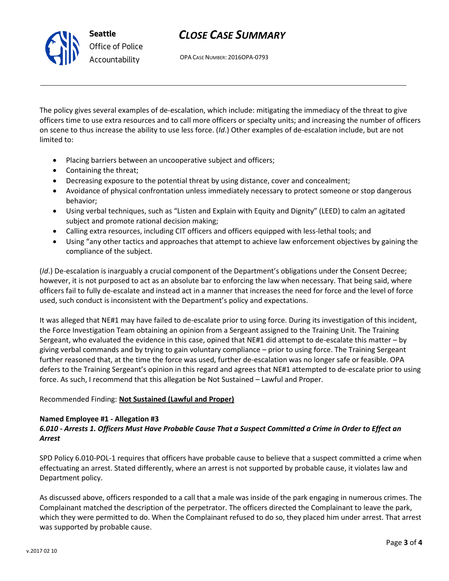# *CLOSE CASE SUMMARY*

OPA CASE NUMBER: 2016OPA-0793

The policy gives several examples of de-escalation, which include: mitigating the immediacy of the threat to give officers time to use extra resources and to call more officers or specialty units; and increasing the number of officers on scene to thus increase the ability to use less force. (*Id*.) Other examples of de-escalation include, but are not limited to:

- Placing barriers between an uncooperative subject and officers;
- Containing the threat;
- Decreasing exposure to the potential threat by using distance, cover and concealment;
- Avoidance of physical confrontation unless immediately necessary to protect someone or stop dangerous behavior;
- Using verbal techniques, such as "Listen and Explain with Equity and Dignity" (LEED) to calm an agitated subject and promote rational decision making;
- Calling extra resources, including CIT officers and officers equipped with less-lethal tools; and
- Using "any other tactics and approaches that attempt to achieve law enforcement objectives by gaining the compliance of the subject.

(*Id*.) De-escalation is inarguably a crucial component of the Department's obligations under the Consent Decree; however, it is not purposed to act as an absolute bar to enforcing the law when necessary. That being said, where officers fail to fully de-escalate and instead act in a manner that increases the need for force and the level of force used, such conduct is inconsistent with the Department's policy and expectations.

It was alleged that NE#1 may have failed to de-escalate prior to using force. During its investigation of this incident, the Force Investigation Team obtaining an opinion from a Sergeant assigned to the Training Unit. The Training Sergeant, who evaluated the evidence in this case, opined that NE#1 did attempt to de-escalate this matter – by giving verbal commands and by trying to gain voluntary compliance – prior to using force. The Training Sergeant further reasoned that, at the time the force was used, further de-escalation was no longer safe or feasible. OPA defers to the Training Sergeant's opinion in this regard and agrees that NE#1 attempted to de-escalate prior to using force. As such, I recommend that this allegation be Not Sustained – Lawful and Proper.

# Recommended Finding: **Not Sustained (Lawful and Proper)**

### **Named Employee #1 - Allegation #3** *6.010 - Arrests 1. Officers Must Have Probable Cause That a Suspect Committed a Crime in Order to Effect an Arrest*

SPD Policy 6.010-POL-1 requires that officers have probable cause to believe that a suspect committed a crime when effectuating an arrest. Stated differently, where an arrest is not supported by probable cause, it violates law and Department policy.

As discussed above, officers responded to a call that a male was inside of the park engaging in numerous crimes. The Complainant matched the description of the perpetrator. The officers directed the Complainant to leave the park, which they were permitted to do. When the Complainant refused to do so, they placed him under arrest. That arrest was supported by probable cause.



**Seattle** *Office of Police Accountability*